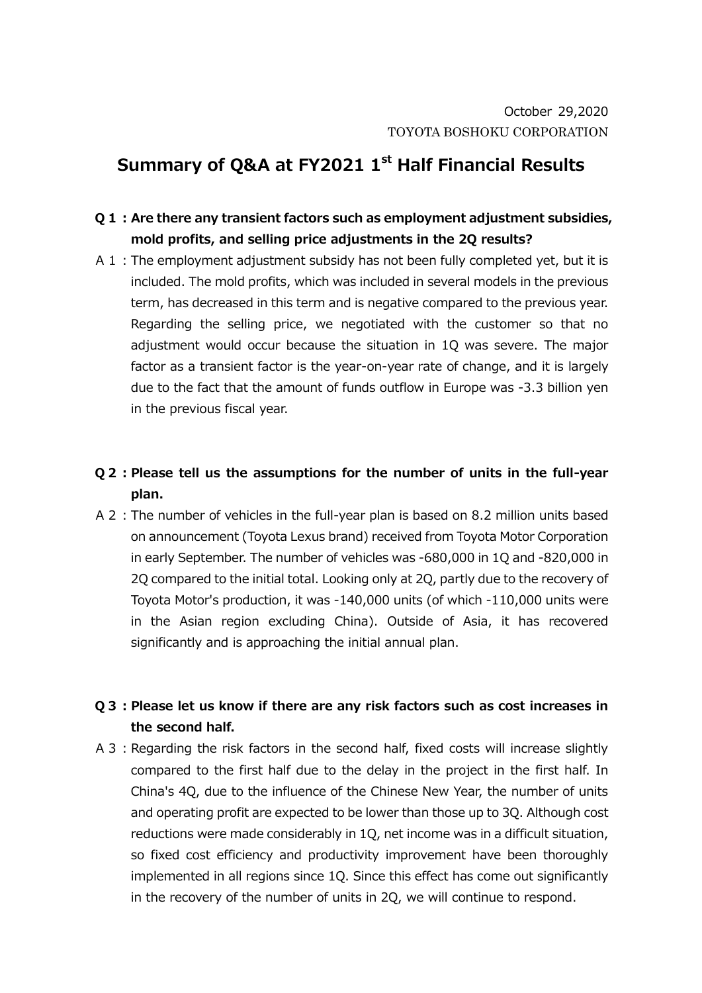## **Summary of Q&A at FY2021 1st Half Financial Results**

## **Q1:Are there any transient factors such as employment adjustment subsidies, mold profits, and selling price adjustments in the 2Q results?**

- A 1: The employment adjustment subsidy has not been fully completed yet, but it is included. The mold profits, which was included in several models in the previous term, has decreased in this term and is negative compared to the previous year. Regarding the selling price, we negotiated with the customer so that no adjustment would occur because the situation in 1Q was severe. The major factor as a transient factor is the year-on-year rate of change, and it is largely due to the fact that the amount of funds outflow in Europe was -3.3 billion yen in the previous fiscal year.
- **Q2:Please tell us the assumptions for the number of units in the full-year plan.**
- A2:The number of vehicles in the full-year plan is based on 8.2 million units based on announcement (Toyota Lexus brand) received from Toyota Motor Corporation in early September. The number of vehicles was -680,000 in 1Q and -820,000 in 2Q compared to the initial total. Looking only at 2Q, partly due to the recovery of Toyota Motor's production, it was -140,000 units (of which -110,000 units were in the Asian region excluding China). Outside of Asia, it has recovered significantly and is approaching the initial annual plan.

**Q3:Please let us know if there are any risk factors such as cost increases in the second half.**

A 3 : Regarding the risk factors in the second half, fixed costs will increase slightly compared to the first half due to the delay in the project in the first half. In China's 4Q, due to the influence of the Chinese New Year, the number of units and operating profit are expected to be lower than those up to 3Q. Although cost reductions were made considerably in 1Q, net income was in a difficult situation, so fixed cost efficiency and productivity improvement have been thoroughly implemented in all regions since 1Q. Since this effect has come out significantly in the recovery of the number of units in 2Q, we will continue to respond.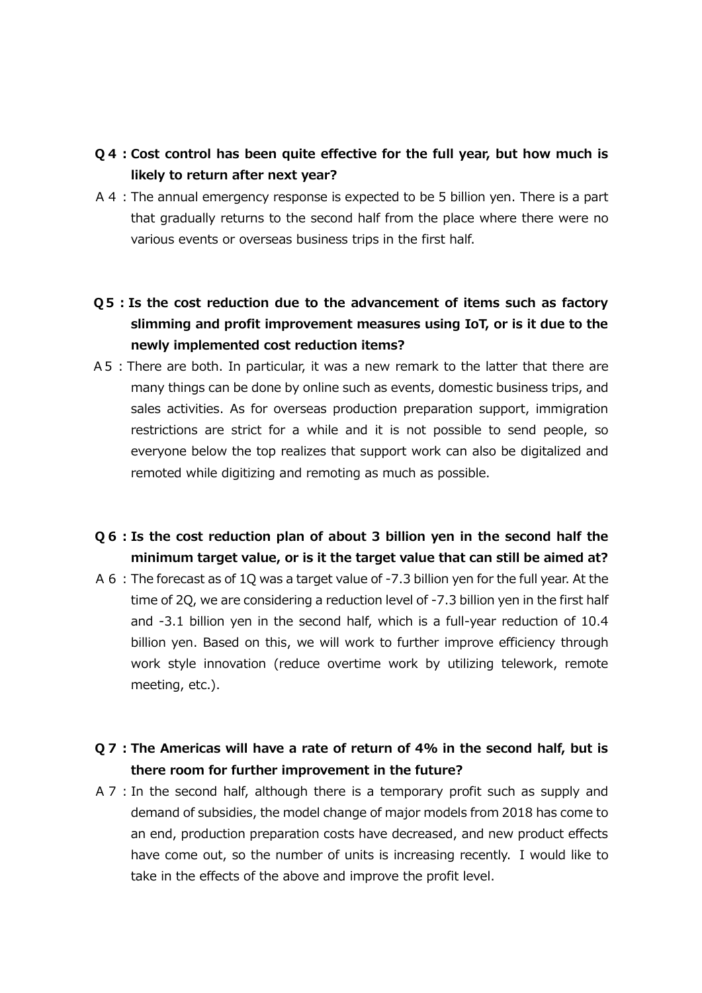- **Q4:Cost control has been quite effective for the full year, but how much is likely to return after next year?**
- A4:The annual emergency response is expected to be 5 billion yen. There is a part that gradually returns to the second half from the place where there were no various events or overseas business trips in the first half.
- **Q5:Is the cost reduction due to the advancement of items such as factory slimming and profit improvement measures using IoT, or is it due to the newly implemented cost reduction items?**
- A5:There are both. In particular, it was a new remark to the latter that there are many things can be done by online such as events, domestic business trips, and sales activities. As for overseas production preparation support, immigration restrictions are strict for a while and it is not possible to send people, so everyone below the top realizes that support work can also be digitalized and remoted while digitizing and remoting as much as possible.
- **Q6:Is the cost reduction plan of about 3 billion yen in the second half the minimum target value, or is it the target value that can still be aimed at?**
- A6:The forecast as of 1Q was a target value of -7.3 billion yen for the full year. At the time of 2Q, we are considering a reduction level of -7.3 billion yen in the first half and -3.1 billion yen in the second half, which is a full-year reduction of 10.4 billion yen. Based on this, we will work to further improve efficiency through work style innovation (reduce overtime work by utilizing telework, remote meeting, etc.).
- **Q7:The Americas will have a rate of return of 4% in the second half, but is there room for further improvement in the future?**
- A 7 : In the second half, although there is a temporary profit such as supply and demand of subsidies, the model change of major models from 2018 has come to an end, production preparation costs have decreased, and new product effects have come out, so the number of units is increasing recently. I would like to take in the effects of the above and improve the profit level.